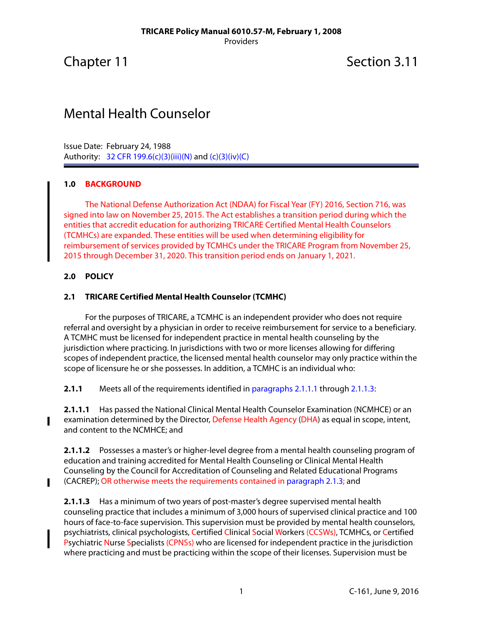Chapter 11 Section 3.11

# Mental Health Counselor

Issue Date: February 24, 1988 Authority: 32 CFR 199.6(c)(3)(iii)(N) and (c)(3)(iv)(C)

### **1.0 BACKGROUND**

The National Defense Authorization Act (NDAA) for Fiscal Year (FY) 2016, Section 716, was signed into law on November 25, 2015. The Act establishes a transition period during which the entities that accredit education for authorizing TRICARE Certified Mental Health Counselors (TCMHCs) are expanded. These entities will be used when determining eligibility for reimbursement of services provided by TCMHCs under the TRICARE Program from November 25, 2015 through December 31, 2020. This transition period ends on January 1, 2021.

#### **2.0 POLICY**

L

 $\blacksquare$ 

### **2.1 TRICARE Certified Mental Health Counselor (TCMHC)**

For the purposes of TRICARE, a TCMHC is an independent provider who does not require referral and oversight by a physician in order to receive reimbursement for service to a beneficiary. A TCMHC must be licensed for independent practice in mental health counseling by the jurisdiction where practicing. In jurisdictions with two or more licenses allowing for differing scopes of independent practice, the licensed mental health counselor may only practice within the scope of licensure he or she possesses. In addition, a TCMHC is an individual who:

**2.1.1** Meets all of the requirements identified in [paragraphs 2.1.1.1](#page-0-0) through [2.1.1.3:](#page-0-1)

<span id="page-0-0"></span>**2.1.1.1** Has passed the National Clinical Mental Health Counselor Examination (NCMHCE) or an examination determined by the Director, Defense Health Agency (DHA) as equal in scope, intent, and content to the NCMHCE; and

**2.1.1.2** Possesses a master's or higher-level degree from a mental health counseling program of education and training accredited for Mental Health Counseling or Clinical Mental Health Counseling by the Council for Accreditation of Counseling and Related Educational Programs (CACREP); OR otherwise meets the requirements contained in [paragraph 2.1.3;](#page-1-0) and

<span id="page-0-1"></span>**2.1.1.3** Has a minimum of two years of post-master's degree supervised mental health counseling practice that includes a minimum of 3,000 hours of supervised clinical practice and 100 hours of face-to-face supervision. This supervision must be provided by mental health counselors, psychiatrists, clinical psychologists, Certified Clinical Social Workers (CCSWs), TCMHCs, or Certified Psychiatric Nurse Specialists (CPNSs) who are licensed for independent practice in the jurisdiction where practicing and must be practicing within the scope of their licenses. Supervision must be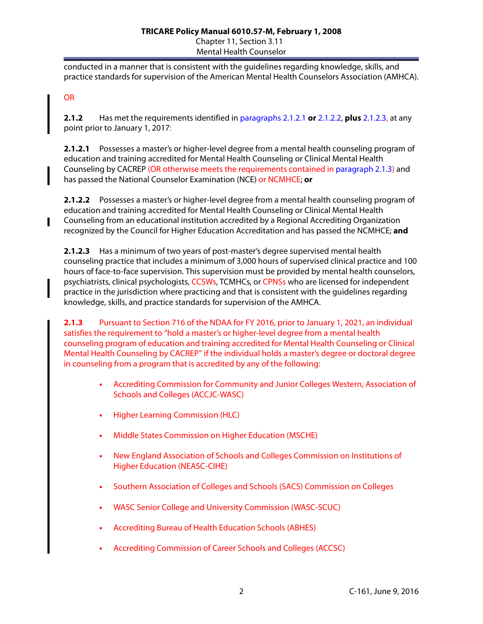#### **TRICARE Policy Manual 6010.57-M, February 1, 2008** Chapter 11, Section 3.11 Mental Health Counselor

conducted in a manner that is consistent with the guidelines regarding knowledge, skills, and practice standards for supervision of the American Mental Health Counselors Association (AMHCA).

## OR

L

**2.1.2** Has met the requirements identified in [paragraphs 2.1.2.1](#page-1-1) **or** [2.1.2.2,](#page-1-2) **plus** [2.1.2.3,](#page-1-3) at any point prior to January 1, 2017:

<span id="page-1-1"></span>**2.1.2.1** Possesses a master's or higher-level degree from a mental health counseling program of education and training accredited for Mental Health Counseling or Clinical Mental Health Counseling by CACREP (OR otherwise meets the requirements contained in [paragraph 2.1.3](#page-1-0)) and has passed the National Counselor Examination (NCE) or NCMHCE; **or**

<span id="page-1-2"></span>**2.1.2.2** Possesses a master's or higher-level degree from a mental health counseling program of education and training accredited for Mental Health Counseling or Clinical Mental Health Counseling from an educational institution accredited by a Regional Accrediting Organization recognized by the Council for Higher Education Accreditation and has passed the NCMHCE; **and**

<span id="page-1-3"></span>**2.1.2.3** Has a minimum of two years of post-master's degree supervised mental health counseling practice that includes a minimum of 3,000 hours of supervised clinical practice and 100 hours of face-to-face supervision. This supervision must be provided by mental health counselors, psychiatrists, clinical psychologists, CCSWs, TCMHCs, or CPNSs who are licensed for independent practice in the jurisdiction where practicing and that is consistent with the guidelines regarding knowledge, skills, and practice standards for supervision of the AMHCA.

<span id="page-1-0"></span>**2.1.3** Pursuant to Section 716 of the NDAA for FY 2016, prior to January 1, 2021, an individual satisfies the requirement to "hold a master's or higher-level degree from a mental health counseling program of education and training accredited for Mental Health Counseling or Clinical Mental Health Counseling by CACREP" if the individual holds a master's degree or doctoral degree in counseling from a program that is accredited by any of the following:

- **•** Accrediting Commission for Community and Junior Colleges Western, Association of Schools and Colleges (ACCJC-WASC)
- **•** Higher Learning Commission (HLC)
- **•** Middle States Commission on Higher Education (MSCHE)
- **•** New England Association of Schools and Colleges Commission on Institutions of Higher Education (NEASC-CIHE)
- **•** Southern Association of Colleges and Schools (SACS) Commission on Colleges
- **•** WASC Senior College and University Commission (WASC-SCUC)
- **•** Accrediting Bureau of Health Education Schools (ABHES)
- **•** Accrediting Commission of Career Schools and Colleges (ACCSC)